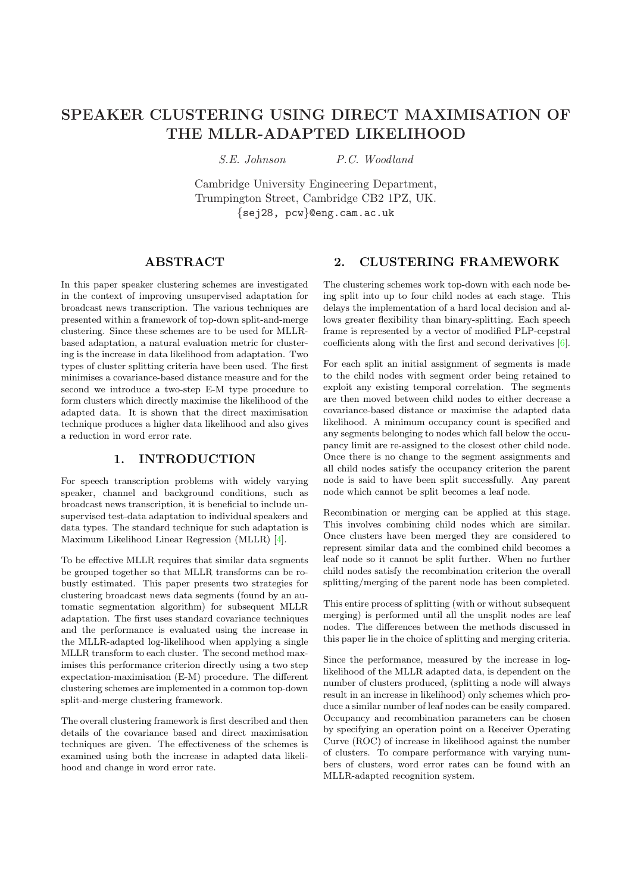# SPEAKER CLUSTERING USING DIRECT MAXIMISATION OF THE MLLR-ADAPTED LIKELIHOOD

S.E. Johnson P.C. Woodland

Cambridge University Engineering Department, Trumpington Street, Cambridge CB2 1PZ, UK. {sej28, pcw}@eng.cam.ac.uk

## ABSTRACT

In this paper speaker clustering schemes are investigated in the context of improving unsupervised adaptation for broadcast news transcription. The various techniques are presented within a framework of top-down split-and-merge clustering. Since these schemes are to be used for MLLRbased adaptation, a natural evaluation metric for clustering is the increase in data likelihood from adaptation. Two types of cluster splitting criteria have been used. The first minimises a covariance-based distance measure and for the second we introduce a two-step E-M type procedure to form clusters which directly maximise the likelihood of the adapted data. It is shown that the direct maximisation technique produces a higher data likelihood and also gives a reduction in word error rate.

### 1. INTRODUCTION

For speech transcription problems with widely varying speaker, channel and background conditions, such as broadcast news transcription, it is beneficial to include unsupervised test-data adaptation to individual speakers and data types. The standard technique for such adaptation is Maximum Likelihood Linear Regression (MLLR) [4].

To be effective MLLR requires that similar data segments be grouped together so that MLLR transforms can be robustly estimated. This paper presents two strategies for clustering broadcast news data segments (found b[y a](#page-3-0)n automatic segmentation algorithm) for subsequent MLLR adaptation. The first uses standard covariance techniques and the performance is evaluated using the increase in the MLLR-adapted log-likelihood when applying a single MLLR transform to each cluster. The second method maximises this performance criterion directly using a two step expectation-maximisation (E-M) procedure. The different clustering schemes are implemented in a common top-down split-and-merge clustering framework.

The overall clustering framework is first described and then details of the covariance based and direct maximisation techniques are given. The effectiveness of the schemes is examined using both the increase in adapted data likelihood and change in word error rate.

#### The clustering schemes work top-down with each node being split into up to four child nodes at each stage. This delays the implementation of a hard local decision and allows greater flexibility than binary-splitting. Each speech frame is represented by a vector of modified PLP-cepstral coefficients along with the first and second derivatives [6].

2. CLUSTERING FRAMEWORK

For each split an initial assignment of segments is made to the child nodes with segment order being retained to exploit any existing temporal correlation. The segments are then moved between child nodes to either decreas[e a](#page-3-0) covariance-based distance or maximise the adapted data likelihood. A minimum occupancy count is specified and any segments belonging to nodes which fall below the occupancy limit are re-assigned to the closest other child node. Once there is no change to the segment assignments and all child nodes satisfy the occupancy criterion the parent node is said to have been split successfully. Any parent node which cannot be split becomes a leaf node.

Recombination or merging can be applied at this stage. This involves combining child nodes which are similar. Once clusters have been merged they are considered to represent similar data and the combined child becomes a leaf node so it cannot be split further. When no further child nodes satisfy the recombination criterion the overall splitting/merging of the parent node has been completed.

This entire process of splitting (with or without subsequent merging) is performed until all the unsplit nodes are leaf nodes. The differences between the methods discussed in this paper lie in the choice of splitting and merging criteria.

Since the performance, measured by the increase in loglikelihood of the MLLR adapted data, is dependent on the number of clusters produced, (splitting a node will always result in an increase in likelihood) only schemes which produce a similar number of leaf nodes can be easily compared. Occupancy and recombination parameters can be chosen by specifying an operation point on a Receiver Operating Curve (ROC) of increase in likelihood against the number of clusters. To compare performance with varying numbers of clusters, word error rates can be found with an MLLR-adapted recognition system.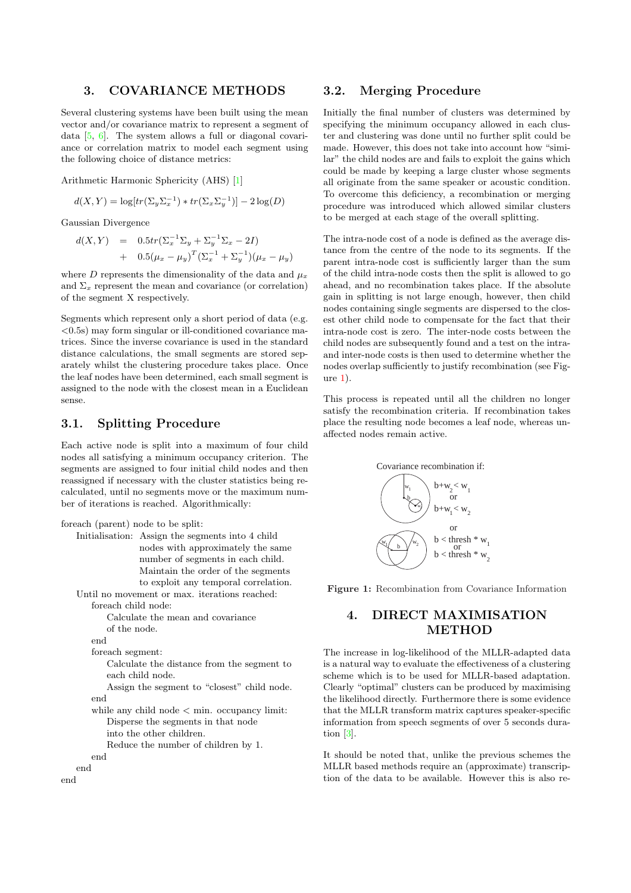### 3. COVARIANCE METHODS

Several clustering systems have been built using the mean vector and/or covariance matrix to represent a segment of data [5, 6]. The system allows a full or diagonal covariance or correlation matrix to model each segment using the following choice of distance metrics:

Arith[metic](#page-3-0) Harmonic Sphericity (AHS) [1]

$$
d(X,Y) = \log[tr(\Sigma_y \Sigma_x^{-1}) * tr(\Sigma_x \Sigma_y^{-1})] - 2\log(D)
$$

Gaussian Divergence

$$
d(X,Y) = 0.5tr(\Sigma_x^{-1}\Sigma_y + \Sigma_y^{-1}\Sigma_x - 2I) + 0.5(\mu_x - \mu_y)^T(\Sigma_x^{-1} + \Sigma_y^{-1})(\mu_x - \mu_y)
$$

where D represents the dimensionality of the data and  $\mu_x$ and  $\Sigma_x$  represent the mean and covariance (or correlation) of the segment X respectively.

Segments which represent only a short period of data (e.g.  $\langle 0.5s \rangle$  may form singular or ill-conditioned covariance matrices. Since the inverse covariance is used in the standard distance calculations, the small segments are stored separately whilst the clustering procedure takes place. Once the leaf nodes have been determined, each small segment is assigned to the node with the closest mean in a Euclidean sense.

## 3.1. Splitting Procedure

Each active node is split into a maximum of four child nodes all satisfying a minimum occupancy criterion. The segments are assigned to four initial child nodes and then reassigned if necessary with the cluster statistics being recalculated, until no segments move or the maximum number of iterations is reached. Algorithmically:

```
foreach (parent) node to be split:
```

```
Initialisation: Assign the segments into 4 child
                  nodes with approximately the same
                  number of segments in each child.
                  Maintain the order of the segments
                  to exploit any temporal correlation.
   Until no movement or max. iterations reached:
       foreach child node:
          Calculate the mean and covariance
          of the node.
       end
       foreach segment:
          Calculate the distance from the segment to
          each child node.
          Assign the segment to "closest" child node.
       end
       while any child node < min. occupancy limit:
          Disperse the segments in that node
          into the other children.
          Reduce the number of children by 1.
       end
   end
end
```
## 3.2. Merging Procedure

Initially the final number of clusters was determined by specifying the minimum occupancy allowed in each cluster and clustering was done until no further split could be made. However, this does not take into account how "similar" the child nodes are and fails to exploit the gains which could be made by keeping a large cluster whose segments all originate from the same speaker or acoustic condition. To overcome this deficiency, a recombination or merging procedure was introduced which allowed similar clusters to be merged at each stage of the overall splitting.

The intra-node cost of a node is defined as the average distance from the centre of the node to its segments. If the parent intra-node cost is sufficiently larger than the sum of the child intra-node costs then the split is allowed to go ahead, and no recombination takes place. If the absolute gain in splitting is not large enough, however, then child nodes containing single segments are dispersed to the closest other child node to compensate for the fact that their intra-node cost is zero. The inter-node costs between the child nodes are subsequently found and a test on the intraand inter-node costs is then used to determine whether the nodes overlap sufficiently to justify recombination (see Fig $ure 1).$ 

This process is repeated until all the children no longer satisfy the recombination criteria. If recombination takes place the resulting node becomes a leaf node, whereas unaffected nodes remain active.



Figure 1: Recombination from Covariance Information

## 4. DIRECT MAXIMISATION METHOD

The increase in log-likelihood of the MLLR-adapted data is a natural way to evaluate the effectiveness of a clustering scheme which is to be used for MLLR-based adaptation. Clearly "optimal" clusters can be produced by maximising the likelihood directly. Furthermore there is some evidence that the MLLR transform matrix captures speaker-specific information from speech segments of over 5 seconds duration [3].

It should be noted that, unlike the previous schemes the MLLR based methods require an (approximate) transcription [of](#page-3-0) the data to be available. However this is also re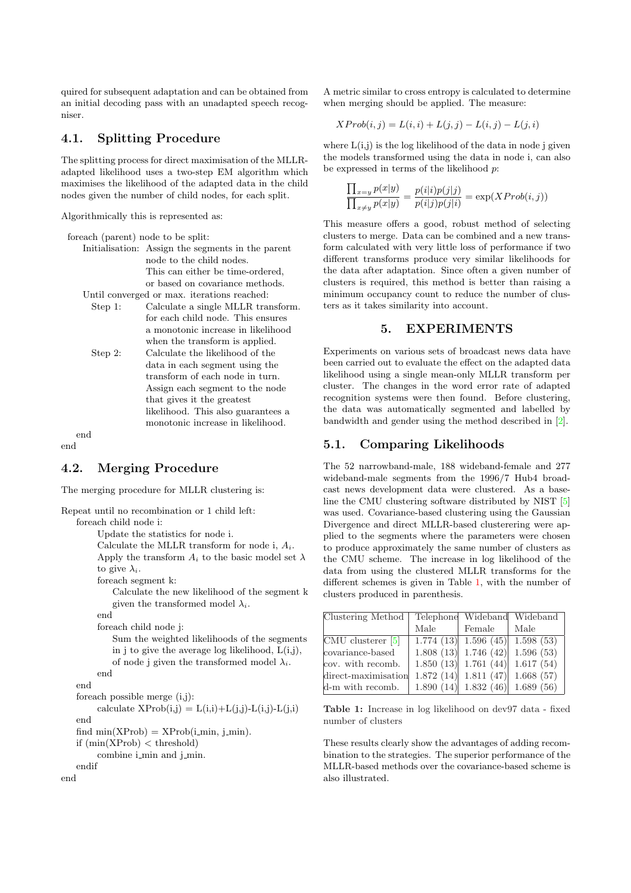quired for subsequent adaptation and can be obtained from an initial decoding pass with an unadapted speech recogniser.

## 4.1. Splitting Procedure

The splitting process for direct maximisation of the MLLRadapted likelihood uses a two-step EM algorithm which maximises the likelihood of the adapted data in the child nodes given the number of child nodes, for each split.

Algorithmically this is represented as:

| for each (parent) node to be split: |                                                   |
|-------------------------------------|---------------------------------------------------|
|                                     | Initialisation: Assign the segments in the parent |
|                                     | node to the child nodes.                          |
|                                     | This can either be time-ordered.                  |
|                                     | or based on covariance methods.                   |
|                                     |                                                   |

- Until converged or max. iterations reached:
	- Step 1: Calculate a single MLLR transform. for each child node. This ensures a monotonic increase in likelihood when the transform is applied. Step 2: Calculate the likelihood of the data in each segment using the
	- transform of each node in turn. Assign each segment to the node that gives it the greatest likelihood. This also guarantees a monotonic increase in likelihood.

end end

## 4.2. Merging Procedure

The merging procedure for MLLR clustering is:

```
Repeat until no recombination or 1 child left:
   foreach child node i:
         Update the statistics for node i.
         Calculate the MLLR transform for node i, A_i.
         Apply the transform A_i to the basic model set \lambdato give \lambda_i.
         foreach segment k:
            Calculate the new likelihood of the segment k
            given the transformed model \lambda_i.
         end
         foreach child node j:
            Sum the weighted likelihoods of the segments
            in j to give the average log likelihood, L(i,j),
            of node j given the transformed model \lambda_i.
        end
   end
   foreach possible merge (i,j):
         calculate XProb(i,j) = L(i,i)+L(j,j)-L(i,j)-L(j,i)end
   find min(XProb) = XProb(i-min, j-min).
   if (\min(XProb) < threshold)
         combine i-min and j-min.
   endif
end
```
A metric similar to cross entropy is calculated to determine when merging should be applied. The measure:

$$
XProb(i,j)=L(i,i)+L(j,j)-L(i,j)-L(j,i)\\
$$

where  $L(i,j)$  is the log likelihood of the data in node j given the models transformed using the data in node i, can also be expressed in terms of the likelihood  $p$ :

$$
\frac{\prod_{x=y} p(x|y)}{\prod_{x\neq y} p(x|y)} = \frac{p(i|i)p(j|j)}{p(i|j)p(j|i)} = \exp(XProb(i,j))
$$

This measure offers a good, robust method of selecting clusters to merge. Data can be combined and a new transform calculated with very little loss of performance if two different transforms produce very similar likelihoods for the data after adaptation. Since often a given number of clusters is required, this method is better than raising a minimum occupancy count to reduce the number of clusters as it takes similarity into account.

### 5. EXPERIMENTS

Experiments on various sets of broadcast news data have been carried out to evaluate the effect on the adapted data likelihood using a single mean-only MLLR transform per cluster. The changes in the word error rate of adapted recognition systems were then found. Before clustering, the data was automatically segmented and labelled by bandwidth and gender using the method described in [2].

## 5.1. Comparing Likelihoods

The 52 narrowband-male, 188 wideband-female and 277 wideband-male segments from the 1996/7 Hub4 bro[ad](#page-3-0)cast news development data were clustered. As a baseline the CMU clustering software distributed by NIST [5] was used. Covariance-based clustering using the Gaussian Divergence and direct MLLR-based clusterering were applied to the segments where the parameters were chosen to produce approximately the same number of clusters as the CMU scheme. The increase in log likelihood of t[he](#page-3-0) data from using the clustered MLLR transforms for the different schemes is given in Table 1, with the number of clusters produced in parenthesis.

| Clustering Method   |           | Telephone Wideband Wideband       |           |
|---------------------|-----------|-----------------------------------|-----------|
|                     | Male      | Female                            | Male      |
| $CMU$ clusterer [5] |           | $\overline{1.774(13)}$ 1.596 (45) | 1.598(53) |
| covariance-based    |           | $1.808(13)$ 1.746 (42)            | 1.596(53) |
| cov. with recomb.   |           | $1.850(13)$ 1.761 (44)            | 1.617(54) |
| direct-maximisation | 1.872(14) | 1.811(47)                         | 1.668(57) |
| d-m with recomb.    |           | 1.890 $(14)$ 1.832 $(46)$         | 1.689(56) |

Table 1: Increase in log likelihood on dev97 data - fixed number of clusters

These results clearly show the advantages of adding recombination to the strategies. The superior performance of the MLLR-based methods over the covariance-based scheme is also illustrated.